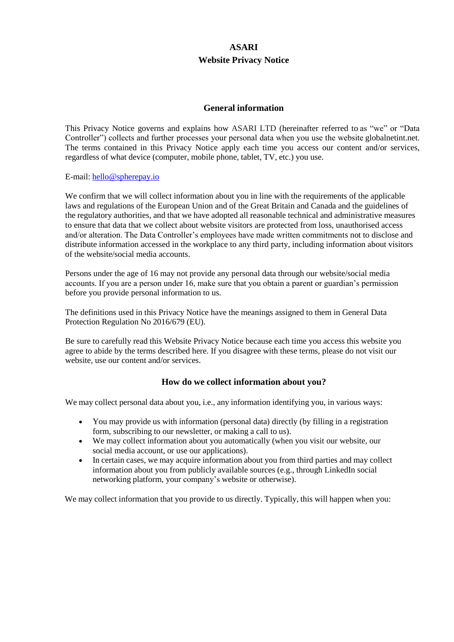# **ASARI Website Privacy Notice**

# **General information**

This Privacy Notice governs and explains how ASARI LTD (hereinafter referred to as "we" or "Data Controller") collects and further processes your personal data when you use the website globalnetint.net. The terms contained in this Privacy Notice apply each time you access our content and/or services, regardless of what device (computer, mobile phone, tablet, TV, etc.) you use.

#### E-mail: [hello@spherepay.io](mailto:hello@spherepay.io)

We confirm that we will collect information about you in line with the requirements of the applicable laws and regulations of the European Union and of the Great Britain and Canada and the guidelines of the regulatory authorities, and that we have adopted all reasonable technical and administrative measures to ensure that data that we collect about website visitors are protected from loss, unauthorised access and/or alteration. The Data Controller's employees have made written commitments not to disclose and distribute information accessed in the workplace to any third party, including information about visitors of the website/social media accounts.

Persons under the age of 16 may not provide any personal data through our website/social media accounts. If you are a person under 16, make sure that you obtain a parent or guardian's permission before you provide personal information to us.

The definitions used in this Privacy Notice have the meanings assigned to them in General Data Protection Regulation No 2016/679 (EU).

Be sure to carefully read this Website Privacy Notice because each time you access this website you agree to abide by the terms described here. If you disagree with these terms, please do not visit our website, use our content and/or services.

# **How do we collect information about you?**

We may collect personal data about you, i.e., any information identifying you, in various ways:

- You may provide us with information (personal data) directly (by filling in a registration form, subscribing to our newsletter, or making a call to us).
- We may collect information about you automatically (when you visit our website, our social media account, or use our applications).
- In certain cases, we may acquire information about you from third parties and may collect information about you from publicly available sources (e.g., through LinkedIn social networking platform, your company's website or otherwise).

We may collect information that you provide to us directly. Typically, this will happen when you: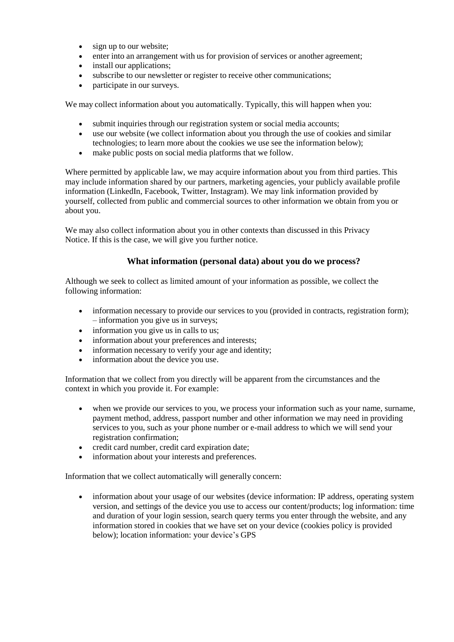- sign up to our website;
- enter into an arrangement with us for provision of services or another agreement;
- install our applications;
- subscribe to our newsletter or register to receive other communications;
- participate in our surveys.

We may collect information about you automatically. Typically, this will happen when you:

- submit inquiries through our registration system or social media accounts;
- use our website (we collect information about you through the use of cookies and similar technologies; to learn more about the cookies we use see the information below);
- make public posts on social media platforms that we follow.

Where permitted by applicable law, we may acquire information about you from third parties. This may include information shared by our partners, marketing agencies, your publicly available profile information (LinkedIn, Facebook, Twitter, Instagram). We may link information provided by yourself, collected from public and commercial sources to other information we obtain from you or about you.

We may also collect information about you in other contexts than discussed in this Privacy Notice. If this is the case, we will give you further notice.

# **What information (personal data) about you do we process?**

Although we seek to collect as limited amount of your information as possible, we collect the following information:

- information necessary to provide our services to you (provided in contracts, registration form); – information you give us in surveys;
- information you give us in calls to us;
- information about your preferences and interests:
- information necessary to verify your age and identity;
- information about the device you use.

Information that we collect from you directly will be apparent from the circumstances and the context in which you provide it. For example:

- when we provide our services to you, we process your information such as your name, surname, payment method, address, passport number and other information we may need in providing services to you, such as your phone number or e-mail address to which we will send your registration confirmation;
- credit card number, credit card expiration date:
- information about your interests and preferences.

Information that we collect automatically will generally concern:

• information about your usage of our websites (device information: IP address, operating system version, and settings of the device you use to access our content/products; log information: time and duration of your login session, search query terms you enter through the website, and any information stored in cookies that we have set on your device (cookies policy is provided below); location information: your device's GPS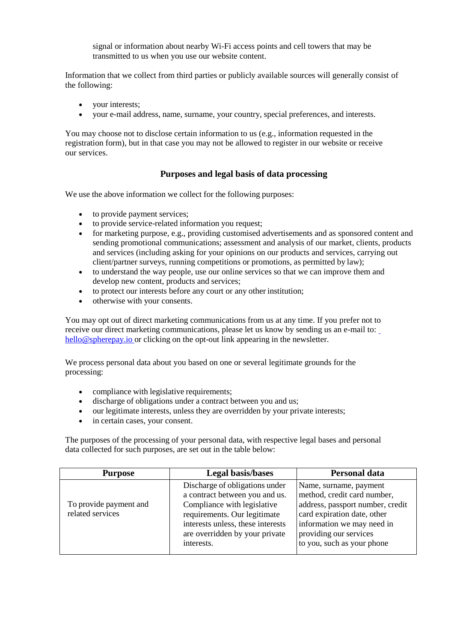signal or information about nearby Wi-Fi access points and cell towers that may be transmitted to us when you use our website content.

Information that we collect from third parties or publicly available sources will generally consist of the following:

- your interests;
- your e-mail address, name, surname, your country, special preferences, and interests.

You may choose not to disclose certain information to us (e.g., information requested in the registration form), but in that case you may not be allowed to register in our website or receive our services.

# **Purposes and legal basis of data processing**

We use the above information we collect for the following purposes:

- to provide payment services:
- to provide service-related information you request;
- for marketing purpose, e.g., providing customised advertisements and as sponsored content and sending promotional communications; assessment and analysis of our market, clients, products and services (including asking for your opinions on our products and services, carrying out client/partner surveys, running competitions or promotions, as permitted by law);
- to understand the way people, use our online services so that we can improve them and develop new content, products and services;
- to protect our interests before any court or any other institution;
- otherwise with your consents.

You may opt out of direct marketing communications from us at any time. If you prefer not to receive our direct marketing communications, please let us know by sending us an e-mail to: [hello@spherepay.io](mailto:%20hello@spherepay.io) or clicking on the opt-out link appearing in the newsletter.

We process personal data about you based on one or several legitimate grounds for the processing:

- compliance with legislative requirements;
- discharge of obligations under a contract between you and us;
- our legitimate interests, unless they are overridden by your private interests;
- in certain cases, your consent.

The purposes of the processing of your personal data, with respective legal bases and personal data collected for such purposes, are set out in the table below:

| <b>Purpose</b>                             | <b>Legal basis/bases</b>                                                                                                                                                                                             | <b>Personal data</b>                                                                                                                                                                                           |
|--------------------------------------------|----------------------------------------------------------------------------------------------------------------------------------------------------------------------------------------------------------------------|----------------------------------------------------------------------------------------------------------------------------------------------------------------------------------------------------------------|
| To provide payment and<br>related services | Discharge of obligations under<br>a contract between you and us.<br>Compliance with legislative<br>requirements. Our legitimate<br>interests unless, these interests<br>are overridden by your private<br>interests. | Name, surname, payment<br>method, credit card number,<br>address, passport number, credit<br>card expiration date, other<br>information we may need in<br>providing our services<br>to you, such as your phone |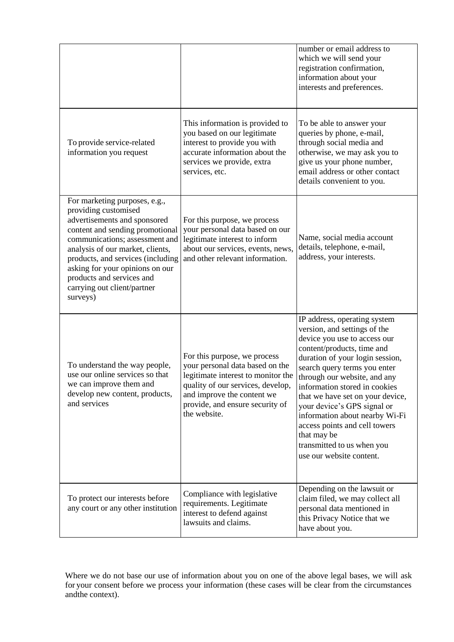|                                                                                                                                                                                                                                                                                                                                                |                                                                                                                                                                                                                             | number or email address to<br>which we will send your<br>registration confirmation,<br>information about your<br>interests and preferences.                                                                                                                                                                                                                                                                                                                                   |
|------------------------------------------------------------------------------------------------------------------------------------------------------------------------------------------------------------------------------------------------------------------------------------------------------------------------------------------------|-----------------------------------------------------------------------------------------------------------------------------------------------------------------------------------------------------------------------------|-------------------------------------------------------------------------------------------------------------------------------------------------------------------------------------------------------------------------------------------------------------------------------------------------------------------------------------------------------------------------------------------------------------------------------------------------------------------------------|
| To provide service-related<br>information you request                                                                                                                                                                                                                                                                                          | This information is provided to<br>you based on our legitimate<br>interest to provide you with<br>accurate information about the<br>services we provide, extra<br>services, etc.                                            | To be able to answer your<br>queries by phone, e-mail,<br>through social media and<br>otherwise, we may ask you to<br>give us your phone number,<br>email address or other contact<br>details convenient to you.                                                                                                                                                                                                                                                              |
| For marketing purposes, e.g.,<br>providing customised<br>advertisements and sponsored<br>content and sending promotional<br>communications; assessment and<br>analysis of our market, clients,<br>products, and services (including<br>asking for your opinions on our<br>products and services and<br>carrying out client/partner<br>surveys) | For this purpose, we process<br>your personal data based on our<br>legitimate interest to inform<br>about our services, events, news,<br>and other relevant information.                                                    | Name, social media account<br>details, telephone, e-mail,<br>address, your interests.                                                                                                                                                                                                                                                                                                                                                                                         |
| To understand the way people,<br>use our online services so that<br>we can improve them and<br>develop new content, products,<br>and services                                                                                                                                                                                                  | For this purpose, we process<br>your personal data based on the<br>legitimate interest to monitor the<br>quality of our services, develop,<br>and improve the content we<br>provide, and ensure security of<br>the website. | IP address, operating system<br>version, and settings of the<br>device you use to access our<br>content/products, time and<br>duration of your login session,<br>search query terms you enter<br>through our website, and any<br>information stored in cookies<br>that we have set on your device,<br>your device's GPS signal or<br>information about nearby Wi-Fi<br>access points and cell towers<br>that may be<br>transmitted to us when you<br>use our website content. |
| To protect our interests before<br>any court or any other institution                                                                                                                                                                                                                                                                          | Compliance with legislative<br>requirements. Legitimate<br>interest to defend against<br>lawsuits and claims.                                                                                                               | Depending on the lawsuit or<br>claim filed, we may collect all<br>personal data mentioned in<br>this Privacy Notice that we<br>have about you.                                                                                                                                                                                                                                                                                                                                |

Where we do not base our use of information about you on one of the above legal bases, we will ask for your consent before we process your information (these cases will be clear from the circumstances andthe context).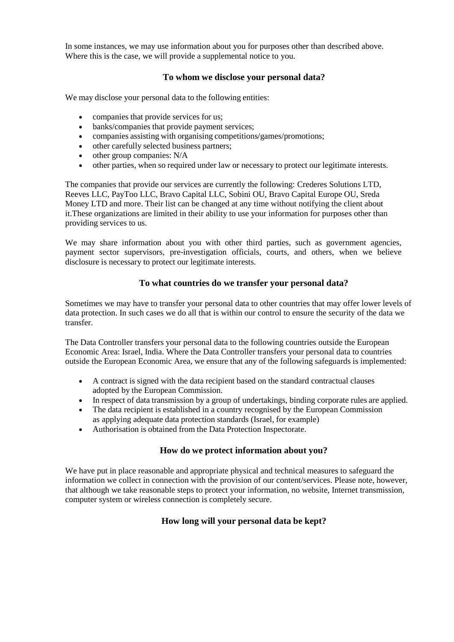In some instances, we may use information about you for purposes other than described above. Where this is the case, we will provide a supplemental notice to you.

# **To whom we disclose your personal data?**

We may disclose your personal data to the following entities:

- companies that provide services for us;
- banks/companies that provide payment services;
- companies assisting with organising competitions/games/promotions;
- other carefully selected business partners;
- $\bullet$  other group companies: N/A
- other parties, when so required under law or necessary to protect our legitimate interests.

The companies that provide our services are currently the following: Crederes Solutions LTD, Reeves LLC, PayToo LLC, Bravo Capital LLC, Sobini OU, Bravo Capital Europe OU, Sreda Money LTD and more. Their list can be changed at any time without notifying the client about it.These organizations are limited in their ability to use your information for purposes other than providing services to us.

We may share information about you with other third parties, such as government agencies, payment sector supervisors, pre-investigation officials, courts, and others, when we believe disclosure is necessary to protect our legitimate interests.

# **To what countries do we transfer your personal data?**

Sometimes we may have to transfer your personal data to other countries that may offer lower levels of data protection. In such cases we do all that is within our control to ensure the security of the data we transfer.

The Data Controller transfers your personal data to the following countries outside the European Economic Area: Israel, India. Where the Data Controller transfers your personal data to countries outside the European Economic Area, we ensure that any of the following safeguards is implemented:

- A contract is signed with the data recipient based on the standard contractual clauses adopted by the European Commission.
- In respect of data transmission by a group of undertakings, binding corporate rules are applied.
- The data recipient is established in a country recognised by the European Commission as applying adequate data protection standards (Israel, for example)
- Authorisation is obtained from the Data Protection Inspectorate.

# **How do we protect information about you?**

We have put in place reasonable and appropriate physical and technical measures to safeguard the information we collect in connection with the provision of our content/services. Please note, however, that although we take reasonable steps to protect your information, no website, Internet transmission, computer system or wireless connection is completely secure.

# **How long will your personal data be kept?**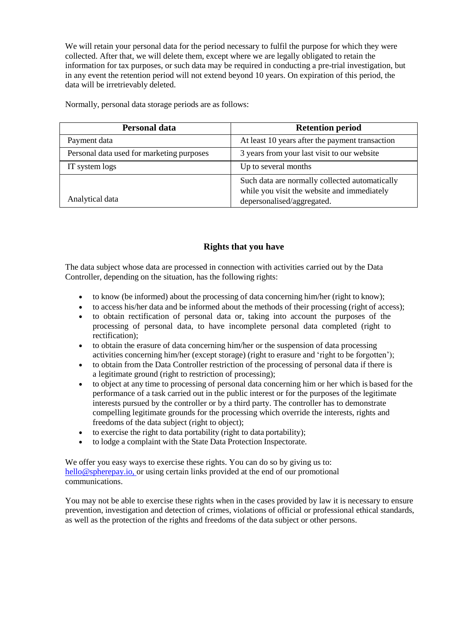We will retain your personal data for the period necessary to fulfil the purpose for which they were collected. After that, we will delete them, except where we are legally obligated to retain the information for tax purposes, or such data may be required in conducting a pre-trial investigation, but in any event the retention period will not extend beyond 10 years. On expiration of this period, the data will be irretrievably deleted.

Normally, personal data storage periods are as follows:

| <b>Personal data</b>                      | <b>Retention period</b>                                                                                                     |
|-------------------------------------------|-----------------------------------------------------------------------------------------------------------------------------|
| Payment data                              | At least 10 years after the payment transaction                                                                             |
| Personal data used for marketing purposes | 3 years from your last visit to our website                                                                                 |
| IT system logs                            | Up to several months                                                                                                        |
| Analytical data                           | Such data are normally collected automatically<br>while you visit the website and immediately<br>depersonalised/aggregated. |

# **Rights that you have**

The data subject whose data are processed in connection with activities carried out by the Data Controller, depending on the situation, has the following rights:

- to know (be informed) about the processing of data concerning him/her (right to know);
- to access his/her data and be informed about the methods of their processing (right of access);
- to obtain rectification of personal data or, taking into account the purposes of the processing of personal data, to have incomplete personal data completed (right to rectification);
- to obtain the erasure of data concerning him/her or the suspension of data processing activities concerning him/her (except storage) (right to erasure and 'right to be forgotten');
- to obtain from the Data Controller restriction of the processing of personal data if there is a legitimate ground (right to restriction of processing);
- to object at any time to processing of personal data concerning him or her which is based for the performance of a task carried out in the public interest or for the purposes of the legitimate interests pursued by the controller or by a third party. The controller has to demonstrate compelling legitimate grounds for the processing which override the interests, rights and freedoms of the data subject (right to object);
- to exercise the right to data portability (right to data portability);
- to lodge a complaint with the State Data Protection Inspectorate.

We offer you easy ways to exercise these rights. You can do so by giving us to: [hello@spherepay.io, o](mailto:hello@spherepay.io,)r using certain links provided at the end of our promotional communications.

You may not be able to exercise these rights when in the cases provided by law it is necessary to ensure prevention, investigation and detection of crimes, violations of official or professional ethical standards, as well as the protection of the rights and freedoms of the data subject or other persons.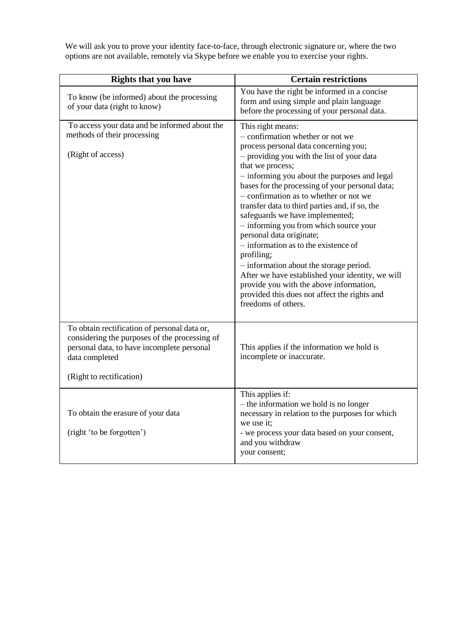We will ask you to prove your identity face-to-face, through electronic signature or, where the two options are not available, remotely via Skype before we enable you to exercise your rights.

| <b>Rights that you have</b>                                                                                                                                                               | <b>Certain restrictions</b>                                                                                                                                                                                                                                                                                                                                                                                                                                                                                                                                                                                                                                                                                                                       |
|-------------------------------------------------------------------------------------------------------------------------------------------------------------------------------------------|---------------------------------------------------------------------------------------------------------------------------------------------------------------------------------------------------------------------------------------------------------------------------------------------------------------------------------------------------------------------------------------------------------------------------------------------------------------------------------------------------------------------------------------------------------------------------------------------------------------------------------------------------------------------------------------------------------------------------------------------------|
| To know (be informed) about the processing<br>of your data (right to know)                                                                                                                | You have the right be informed in a concise<br>form and using simple and plain language<br>before the processing of your personal data.                                                                                                                                                                                                                                                                                                                                                                                                                                                                                                                                                                                                           |
| To access your data and be informed about the<br>methods of their processing<br>(Right of access)                                                                                         | This right means:<br>- confirmation whether or not we<br>process personal data concerning you;<br>- providing you with the list of your data<br>that we process;<br>- informing you about the purposes and legal<br>bases for the processing of your personal data;<br>- confirmation as to whether or not we<br>transfer data to third parties and, if so, the<br>safeguards we have implemented;<br>- informing you from which source your<br>personal data originate;<br>$-$ information as to the existence of<br>profiling;<br>- information about the storage period.<br>After we have established your identity, we will<br>provide you with the above information,<br>provided this does not affect the rights and<br>freedoms of others. |
| To obtain rectification of personal data or,<br>considering the purposes of the processing of<br>personal data, to have incomplete personal<br>data completed<br>(Right to rectification) | This applies if the information we hold is<br>incomplete or inaccurate.                                                                                                                                                                                                                                                                                                                                                                                                                                                                                                                                                                                                                                                                           |
| To obtain the erasure of your data<br>(right 'to be forgotten')                                                                                                                           | This applies if:<br>- the information we hold is no longer<br>necessary in relation to the purposes for which<br>we use it;<br>- we process your data based on your consent,<br>and you withdraw<br>your consent;                                                                                                                                                                                                                                                                                                                                                                                                                                                                                                                                 |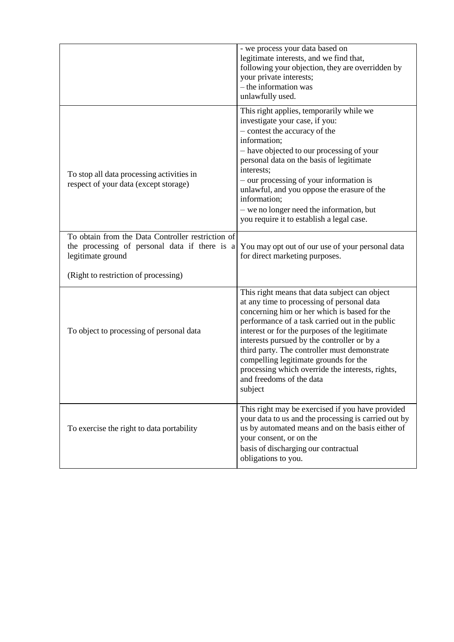|                                                                                                                         | - we process your data based on<br>legitimate interests, and we find that,<br>following your objection, they are overridden by<br>your private interests;<br>- the information was<br>unlawfully used.                                                                                                                                                                                                                                                                              |
|-------------------------------------------------------------------------------------------------------------------------|-------------------------------------------------------------------------------------------------------------------------------------------------------------------------------------------------------------------------------------------------------------------------------------------------------------------------------------------------------------------------------------------------------------------------------------------------------------------------------------|
| To stop all data processing activities in<br>respect of your data (except storage)                                      | This right applies, temporarily while we<br>investigate your case, if you:<br>- contest the accuracy of the<br>information;<br>- have objected to our processing of your<br>personal data on the basis of legitimate<br>interests;<br>- our processing of your information is<br>unlawful, and you oppose the erasure of the<br>information;<br>- we no longer need the information, but<br>you require it to establish a legal case.                                               |
| To obtain from the Data Controller restriction of<br>the processing of personal data if there is a<br>legitimate ground | You may opt out of our use of your personal data<br>for direct marketing purposes.                                                                                                                                                                                                                                                                                                                                                                                                  |
| (Right to restriction of processing)                                                                                    |                                                                                                                                                                                                                                                                                                                                                                                                                                                                                     |
| To object to processing of personal data                                                                                | This right means that data subject can object<br>at any time to processing of personal data<br>concerning him or her which is based for the<br>performance of a task carried out in the public<br>interest or for the purposes of the legitimate<br>interests pursued by the controller or by a<br>third party. The controller must demonstrate<br>compelling legitimate grounds for the<br>processing which override the interests, rights,<br>and freedoms of the data<br>subject |
| To exercise the right to data portability                                                                               | This right may be exercised if you have provided<br>your data to us and the processing is carried out by<br>us by automated means and on the basis either of<br>your consent, or on the<br>basis of discharging our contractual<br>obligations to you.                                                                                                                                                                                                                              |